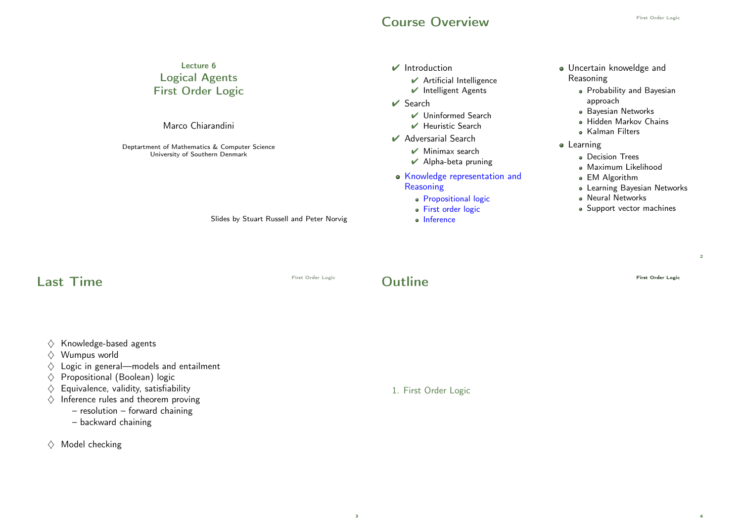#### Course Overview **Course Course Overview**

2

4

| Lecture 6<br><b>Logical Agents</b><br><b>First Order Logic</b><br>Marco Chiarandini<br>Deptartment of Mathematics & Computer Science<br>University of Southern Denmark<br>Slides by Stuart Russell and Peter Norvig                                           |                   | $\mathbf{\mathcal{V}}$ Introduction<br>✔ Artificial Intelligence<br>Intelligent Agents<br>$\vee$ Search<br>$\vee$ Uninformed Search<br>Heuristic Search<br>$\vee$ Adversarial Search<br>$\mathcal V$ Minimax search<br>✔ Alpha-beta pruning<br>• Knowledge representation and<br>Reasoning<br>· Propositional logic<br>· First order logic<br>· Inference | • Uncertain knoweldge and<br>Reasoning<br>• Probability and Bayesian<br>approach<br>· Bayesian Networks<br>· Hidden Markov Chains<br>• Kalman Filters<br>• Learning<br>• Decision Trees<br>· Maximum Likelihood<br>• EM Algorithm<br>• Learning Bayesian Networks<br>• Neural Networks<br>• Support vector machines |
|---------------------------------------------------------------------------------------------------------------------------------------------------------------------------------------------------------------------------------------------------------------|-------------------|-----------------------------------------------------------------------------------------------------------------------------------------------------------------------------------------------------------------------------------------------------------------------------------------------------------------------------------------------------------|---------------------------------------------------------------------------------------------------------------------------------------------------------------------------------------------------------------------------------------------------------------------------------------------------------------------|
| <b>Last Time</b>                                                                                                                                                                                                                                              | First Order Logic | <b>Outline</b>                                                                                                                                                                                                                                                                                                                                            | First Order Logic                                                                                                                                                                                                                                                                                                   |
| Knowledge-based agents<br>$\langle \rangle$<br>Wumpus world<br>$\langle \rangle$<br>Logic in general-models and entailment<br>$\langle \rangle$<br>Propositional (Boolean) logic<br>$\langle \rangle$<br>$\diamondsuit$ Equivalence, validity, satisfiability |                   | 1. First Order Logic                                                                                                                                                                                                                                                                                                                                      |                                                                                                                                                                                                                                                                                                                     |

- $\diamond$  Inference rules and theorem proving
	- resolution forward chaining
		- backward chaining
- $\diamondsuit$  Model checking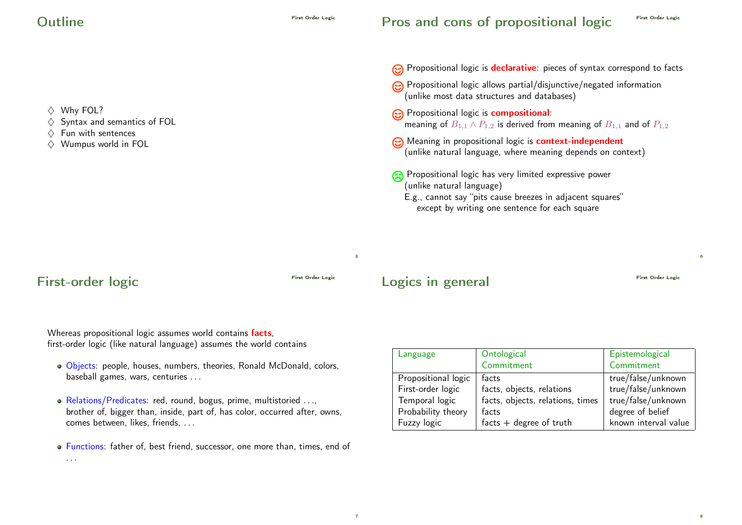$\Diamond$  Why FOL?  $\diamondsuit$  Syntax and semantics of FOL  $\Diamond$  Fun with sentences  $\Diamond$  Wumpus world in FOL Propositional logic is **declarative**: pieces of syntax correspond to facts Propositional logic allows partial/disjunctive/negated information (unlike most data structures and databases) **e** Propositional logic is **compositional:** meaning of  $B_{1,1} \wedge P_{1,2}$  is derived from meaning of  $B_{1,1}$  and of  $P_{1,2}$ **C** Meaning in propositional logic is **context-independent** (unlike natural language, where meaning depends on context) Propositional logic has very limited expressive power (unlike natural language) E.g., cannot say "pits cause breezes in adjacent squares" except by writing one sentence for each square

## First-order logic First Order Logic

5

Logics in general First Order Logic

6

8

Whereas propositional logic assumes world contains **facts**, first-order logic (like natural language) assumes the world contains

- Objects: people, houses, numbers, theories, Ronald McDonald, colors, baseball games, wars, centuries . . .
- Relations/Predicates: red, round, bogus, prime, multistoried . . ., brother of, bigger than, inside, part of, has color, occurred after, owns, comes between, likes, friends, . . .
- Functions: father of, best friend, successor, one more than, times, end of . . .

| Language            | Ontological                      | Epistemological      |
|---------------------|----------------------------------|----------------------|
|                     | Commitment                       | Commitment           |
| Propositional logic | facts                            | true/false/unknown   |
| First-order logic   | facts, objects, relations        | true/false/unknown   |
| Temporal logic      | facts, objects, relations, times | true/false/unknown   |
| Probability theory  | facts                            | degree of belief     |
| Fuzzy logic         | $facts + degree of truth$        | known interval value |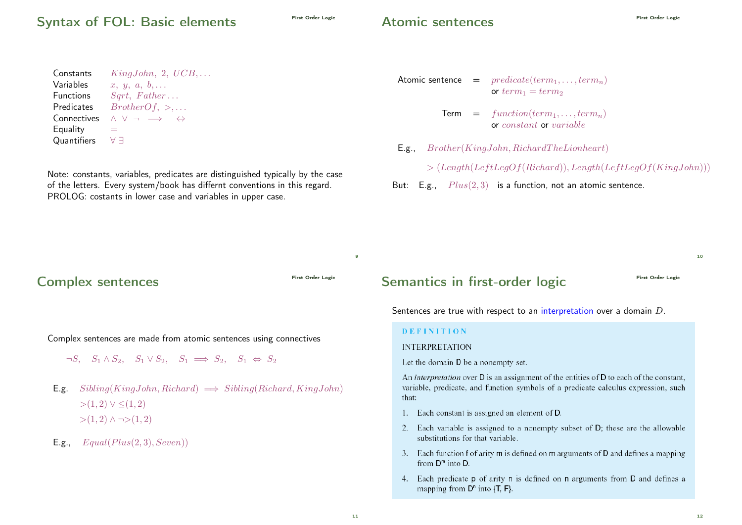### Syntax of FOL: Basic elements

#### Atomic sentences

| $KingJohn, 2, UCB, \ldots$                         |
|----------------------------------------------------|
| $x, y, a, b, \ldots$                               |
| Sqrt, Father                                       |
| $BrotherOf, >, \ldots$                             |
| $\wedge$ $\vee$ $\rightarrow$<br>$\leftrightarrow$ |
|                                                    |
| АЧ                                                 |
|                                                    |

Note: constants, variables, predicates are distinguished typically by the case of the letters. Every system/book has differnt conventions in this regard. PROLOG: costants in lower case and variables in upper case.

#### Atomic sentence  $=$   $predicate(term_1, \ldots, term_n)$ or  $term_1 = term_2$

- $Term = function(term_1, \ldots, term_n)$ or constant or variable
- E.g., Brother(KingJohn, RichardT heLionheart)
	- $> (Length(LeftLegOf(Richard)), Length(LeftLegOf(KingJohn)))$
- But: E.g.,  $Plus(2, 3)$  is a function, not an atomic sentence.

First Order Logic Complex sentences

Complex sentences are made from atomic sentences using connectives

- $\neg S$ ,  $S_1 \wedge S_2$ ,  $S_1 \vee S_2$ ,  $S_1 \implies S_2$ ,  $S_1 \Leftrightarrow S_2$
- E.g.  $Sibling(KingJohn, Richard) \implies Sibling(Richard, KingJohn)$  $>(1, 2) ∨ ≤ (1, 2)$  $>(1, 2)$  ∧ ¬ $>(1, 2)$
- **E.g.,**  $Equal(Plus(2, 3), Seven))$

#### Semantics in first-order logic First Order Logic

 $10$ 

Sentences are true with respect to an interpretation over a domain D.

#### **DEFINITION**

#### **INTERPRETATION**

Let the domain D be a nonempty set.

An *interpretation* over **D** is an assignment of the entities of **D** to each of the constant, variable, predicate, and function symbols of a predicate calculus expression, such that:

- 1. Each constant is assigned an element of D.
- 2. Each variable is assigned to a nonempty subset of D; these are the allowable substitutions for that variable.
- 3. Each function f of arity m is defined on m arguments of D and defines a mapping from  $D^m$  into D.
- 4. Each predicate **p** of arity **n** is defined on **n** arguments from **D** and defines a mapping from  $D^n$  into  $\{T, F\}$ .

 $\overline{9}$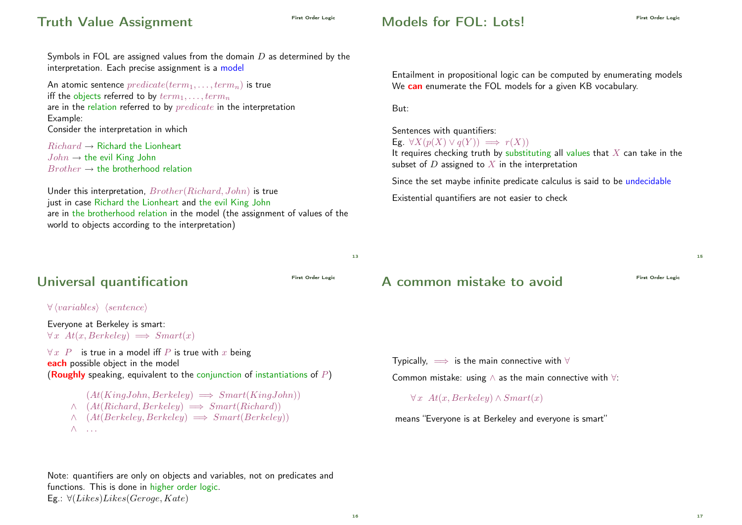# First Order Logic Truth Value Assignment

### $\n *Models* for FOI:  $|$  ots<sup>1</sup>$

Sentences with quantifiers:

Eg.  $\forall X(p(X) \lor q(Y)) \implies r(X)$ 

But:

Symbols in FOL are assigned values from the domain  $D$  as determined by the interpretation. Each precise assignment is a model

An atomic sentence  $predicate(term_1, \ldots, term_n)$  is true iff the objects referred to by  $term_1, \ldots, term_n$ are in the relation referred to by *predicate* in the interpretation Example: Consider the interpretation in which

 $Richard \rightarrow Richard$  the Lionheart  $John \rightarrow$  the evil King John  $Brother \rightarrow$  the brotherhood relation

Under this interpretation, Brother(Richard, John) is true just in case Richard the Lionheart and the evil King John are in the brotherhood relation in the model (the assignment of values of the world to objects according to the interpretation)

#### Universal quantification

 $\forall$  (variables) (sentence)

Everyone at Berkeley is smart:  $\forall x \ At(x, Berkeley) \implies Smart(x)$ 

 $\forall x \ P$  is true in a model iff P is true with x being each possible object in the model (Roughly speaking, equivalent to the conjunction of instantiations of  $P$ )

 $(At(KingJohn, Berkeley) \implies Smart(KingJohn))$  $\wedge$  (At(Richard, Berkeley)  $\implies$  Smart(Richard))  $\wedge$  (At(Berkeley, Berkeley)  $\implies$  Smart(Berkeley))  $\wedge$  ...

Note: quantifiers are only on objects and variables, not on predicates and functions. This is done in higher order logic. Eg.:  $\forall$ (Likes)Likes(Geroge, Kate)

#### It requires checking truth by substituting all values that  $X$  can take in the subset of  $D$  assigned to  $X$  in the interpretation Since the set maybe infinite predicate calculus is said to be undecidable

We **can** enumerate the FOL models for a given KB vocabulary.

Entailment in propositional logic can be computed by enumerating models

Existential quantifiers are not easier to check

A common mistake to avoid

15

Typically,  $\implies$  is the main connective with  $\forall$ Common mistake: using  $\wedge$  as the main connective with  $\forall$ :

 $\forall x \; At(x, Berkeley) \wedge Smart(x)$ 

means "Everyone is at Berkeley and everyone is smart"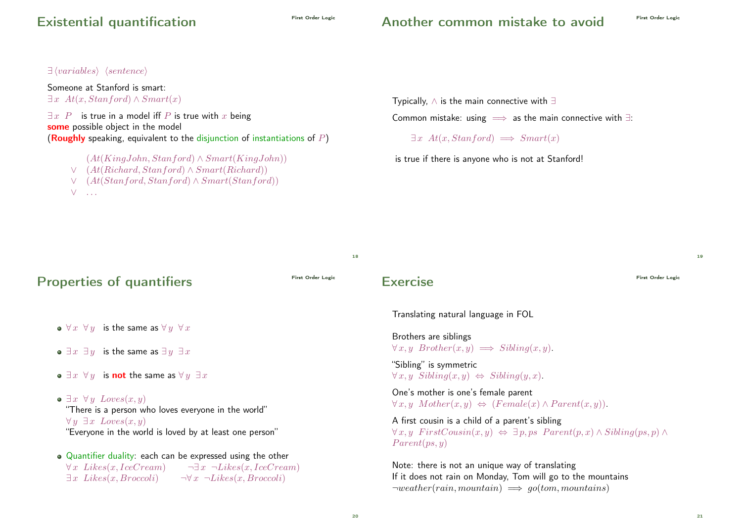# Existential quantification

#### Another common mistake to avoid

 $\exists$  (variables) (sentence)

Someone at Stanford is smart:  $\exists x \ At(x, Stanford) \wedge Smart(x)$ 

 $\exists x \ P$  is true in a model iff P is true with x being some possible object in the model (Roughly speaking, equivalent to the disjunction of instantiations of  $P$ )

- $(At(KingJohn, Stanford) \wedge Smart(KingJohn))$ ∨ (At(Richard, Stanford) ∧ Smart(Richard)) ∨ (At(Stanford, Stanford) ∧ Smart(Stanford))
- $V = \ldots$

Typically, ∧ is the main connective with ∃

Common mistake: using  $\implies$  as the main connective with  $\exists$ :

 $\exists x \ At(x, Standford) \implies Smart(x)$ 

is true if there is anyone who is not at Stanford!

Properties of quantifiers  $\bullet \ \forall x \ \forall y$  is the same as  $\forall y \ \forall x$ •  $\exists x \exists y$  is the same as  $\exists y \exists x$  $\bullet \exists x \ \forall y$  is not the same as  $\forall y \exists x$  $\bullet \ \exists x \ \forall y \ Loves(x, y)$ "There is a person who loves everyone in the world"  $\forall y \; \exists x \; Loves(x, y)$ "Everyone in the world is loved by at least one person" Quantifier duality: each can be expressed using the other  $\forall x \; \textit{Likes}(x, \textit{IceCream})$   $\neg \exists x \; \neg \textit{Likes}(x, \textit{IceCream})$  $\exists x \; \text{Likes}(x, \text{Broccoli}) \qquad \neg \forall x \; \neg \text{Likes}(x, \text{Broccoli})$ Exercise First Order Logic Translating natural language in FOL Brothers are siblings  $\forall x, y \; Brother(x, y) \implies Sibling(x, y).$ "Sibling" is symmetric  $\forall x, y \ Sibling(x, y) \Leftrightarrow Sibling(y, x).$ One's mother is one's female parent  $\forall x. y \ Mother(x, y) \Leftrightarrow (Female(x) \land Parent(x, y)).$ A first cousin is a child of a parent's sibling  $\forall x, y \; FirstCousin(x, y) \Leftrightarrow \exists p, ps \; Parent(p, x) \wedge Sibling(ps, p) \wedge$  $Parent(ps, y)$ Note: there is not an unique way of translating If it does not rain on Monday, Tom will go to the mountains  $\neg weather(rain, mountain) \implies go(tom, mountains)$ 

18

21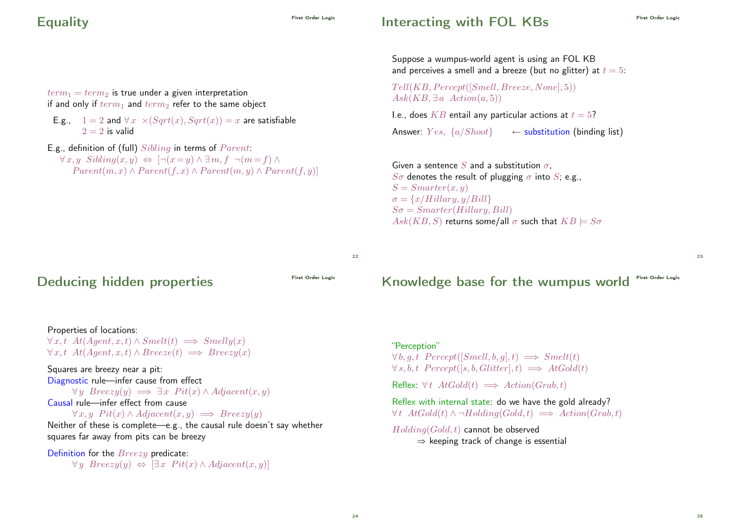# Equality First Order Logic

### Interacting with FOL KBs

Suppose a wumpus-world agent is using an FOL KB and perceives a smell and a breeze (but no glitter) at  $t = 5$ :

 $Tell(KB, Percept([Smell, Breeze, None], 5))$  $Ask(KB, \exists a \; Action(a, 5))$ 

I.e., does  $KB$  entail any particular actions at  $t = 5$ ? Answer:  $Yes, \{a/Shoot\}$  ← substitution (binding list)

Given a sentence S and a substitution  $\sigma$ .  $S\sigma$  denotes the result of plugging  $\sigma$  into S; e.g.,  $S = Smarter(x, y)$  $\sigma = \{x/Hillary, y/Bill\}$  $S\sigma = Smarter(Hillary, Bill)$  $Ask(KB, S)$  returns some/all  $\sigma$  such that  $KB \models S\sigma$ 

 $22$ 

Deducing hidden properties

Properties of locations:  $\forall x, t \; At(Agent, x, t) \land Smelt(t) \implies Smelly(x)$  $\forall x, t \; At(Agent, x, t) \wedge Breeze(t) \implies Breezu(x)$ 

 $term_1 = term_2$  is true under a given interpretation if and only if  $term_1$  and  $term_2$  refer to the same object

E.g., definition of (full)  $Sibling$  in terms of  $Parent$ :

 $2 = 2$  is valid

E.g.,  $1 = 2$  and  $\forall x \times (Sart(x), Sart(x)) = x$  are satisfiable

 $\forall x, y \ Sibling(x, y) \Leftrightarrow \neg(x = y) \wedge \exists m, f \neg(m = f) \wedge$ 

 $Parent(m, x) \wedge Parent(f, x) \wedge Parent(m, y) \wedge Parent(f, y)]$ 

Squares are breezy near a pit: Diagnostic rule—infer cause from effect  $\forall y \ Breezu(y) \implies \exists x \ Pit(x) \land Adjacent(x, y)$ Causal rule—infer effect from cause  $\forall x, y \; Pit(x) \land Adjacent(x, y) \implies Breezy(y)$ Neither of these is complete—e.g., the causal rule doesn't say whether squares far away from pits can be breezy

Definition for the **Breezy** predicate:  $\forall y \ Breezy(y) \Leftrightarrow [\exists x \ Pitt(x) \land Adjacent(x, y)]$  Knowledge base for the wumpus world First Order Logic

"Perception"  $\forall b, q, t$  Percept([Smell, b, q], t)  $\implies$  Smelt(t)  $\forall s, b, t$  Percept([s, b, Glitter], t)  $\implies$  AtGold(t) Reflex:  $\forall t \; AtGold(t) \implies Action(Graph, t)$ 

Reflex with internal state: do we have the gold already?  $\forall t \; AtGold(t) \wedge \neg Holding(Gold, t) \implies Action(Grab, t)$ 

 $Holding(Gold, t)$  cannot be observed  $\Rightarrow$  keeping track of change is essential

#### 24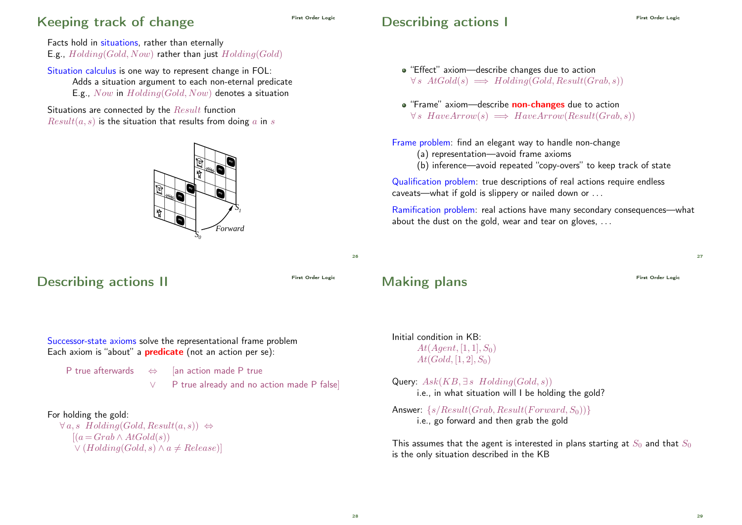## Keeping track of change

# First Order Logic Describing actions I

Facts hold in situations, rather than eternally E.g.,  $Holding(Gold, Now)$  rather than just  $Holding(Gold)$ 

Situation calculus is one way to represent change in FOL: Adds a situation argument to each non-eternal predicate E.g., Now in Holding(Gold, Now) denotes a situation

Situations are connected by the Result function  $Result(a, s)$  is the situation that results from doing a in s



### Describing actions II

- "Effect" axiom—describe changes due to action  $\forall s \; AtGold(s) \implies Holding(Gold, Result(Grab, s))$
- **•** "Frame" axiom—describe **non-changes** due to action  $\forall s \; HaveArrow(s) \implies HaveArrow(Result(Grab, s))$

Frame problem: find an elegant way to handle non-change

- (a) representation—avoid frame axioms
- (b) inference—avoid repeated "copy-overs" to keep track of state

Qualification problem: true descriptions of real actions require endless caveats—what if gold is slippery or nailed down or . . .

Ramification problem: real actions have many secondary consequences—what about the dust on the gold, wear and tear on gloves, ...

 $26$ 

# Making plans First Order Logic

 $27$ 

Successor-state axioms solve the representational frame problem Each axiom is "about" a **predicate** (not an action per se):

P true afterwards ⇔ [an action made P true

∨ P true already and no action made P false]

#### For holding the gold:

 $\forall a, s \; Holding(Gold, Result(a, s)) \Leftrightarrow$  $[(a = Grab \wedge AtGold(s))]$  $\vee$  (Holding(Gold, s)  $\wedge$  a  $\neq$  Release)]

#### Initial condition in KB:  $At(Agent, [1, 1], S_0)$  $At(Gold, [1, 2], S_0)$

Query:  $Ask(KB, \exists s \; Holding(Gold, s))$ i.e., in what situation will I be holding the gold?

Answer:  $\{s/Result(Grab, Result(Forward, S_0))\}$ i.e., go forward and then grab the gold

This assumes that the agent is interested in plans starting at  $S_0$  and that  $S_0$ is the only situation described in the KB